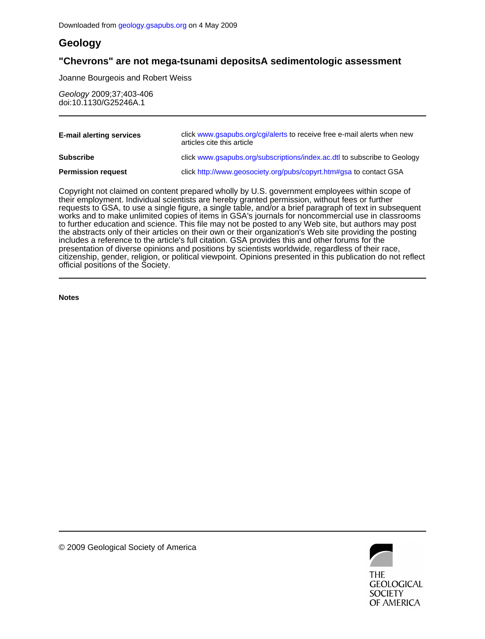## **Geology**

## **"Chevrons" are not mega-tsunami depositsA sedimentologic assessment**

Joanne Bourgeois and Robert Weiss

doi:10.1130/G25246A.1 Geology 2009;37;403-406

| <b>E-mail alerting services</b> | click www.gsapubs.org/cgi/alerts to receive free e-mail alerts when new<br>articles cite this article |  |  |  |
|---------------------------------|-------------------------------------------------------------------------------------------------------|--|--|--|
| <b>Subscribe</b>                | click www.gsapubs.org/subscriptions/index.ac.dtl to subscribe to Geology                              |  |  |  |
| <b>Permission request</b>       | click http://www.geosociety.org/pubs/copyrt.htm#gsa to contact GSA                                    |  |  |  |

official positions of the Society. citizenship, gender, religion, or political viewpoint. Opinions presented in this publication do not reflect presentation of diverse opinions and positions by scientists worldwide, regardless of their race, includes a reference to the article's full citation. GSA provides this and other forums for the the abstracts only of their articles on their own or their organization's Web site providing the posting to further education and science. This file may not be posted to any Web site, but authors may post works and to make unlimited copies of items in GSA's journals for noncommercial use in classrooms requests to GSA, to use a single figure, a single table, and/or a brief paragraph of text in subsequent their employment. Individual scientists are hereby granted permission, without fees or further Copyright not claimed on content prepared wholly by U.S. government employees within scope of

**Notes**



© 2009 Geological Society of America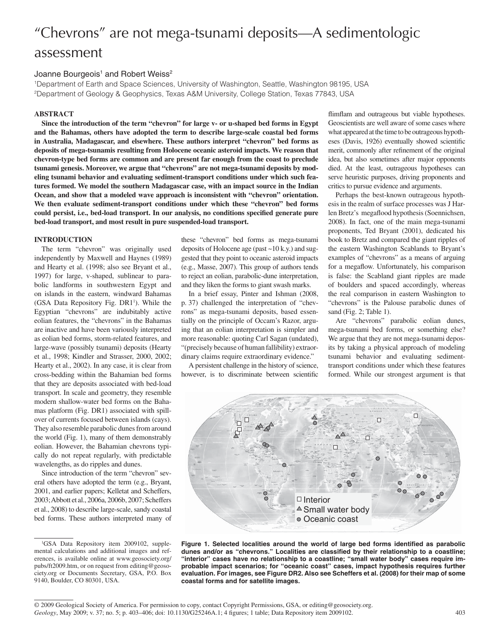# "Chevrons" are not mega-tsunami deposits—A sedimentologic assessment

### Joanne Bourgeois<sup>1</sup> and Robert Weiss<sup>2</sup>

1 Department of Earth and Space Sciences, University of Washington, Seattle, Washington 98195, USA 2 Department of Geology & Geophysics, Texas A&M University, College Station, Texas 77843, USA

#### **ABSTRACT**

**Since the introduction of the term "chevron" for large v- or u-shaped bed forms in Egypt and the Bahamas, others have adopted the term to describe large-scale coastal bed forms in Australia, Madagascar, and elsewhere. These authors interpret "chevron" bed forms as deposits of mega-tsunamis resulting from Holocene oceanic asteroid impacts. We reason that chevron-type bed forms are common and are present far enough from the coast to preclude tsunami genesis. Moreover, we argue that "chevrons" are not mega-tsunami deposits by modeling tsunami behavior and evaluating sediment-transport conditions under which such features formed. We model the southern Madagascar case, with an impact source in the Indian Ocean, and show that a modeled wave approach is inconsistent with "chevron" orientation. We then evaluate sediment-transport conditions under which these "chevron" bed forms**  could persist, i.e., bed-load transport. In our analysis, no conditions specified generate pure **bed-load transport, and most result in pure suspended-load transport.**

#### **INTRODUCTION**

The term "chevron" was originally used independently by Maxwell and Haynes (1989) and Hearty et al. (1998; also see Bryant et al., 1997) for large, v-shaped, sublinear to parabolic landforms in southwestern Egypt and on islands in the eastern, windward Bahamas (GSA Data Repository Fig. DR1<sup>1</sup>). While the Egyptian "chevrons" are indubitably active eolian features, the "chevrons" in the Bahamas are inactive and have been variously interpreted as eolian bed forms, storm-related features, and large-wave (possibly tsunami) deposits (Hearty et al., 1998; Kindler and Strasser, 2000, 2002; Hearty et al., 2002). In any case, it is clear from cross-bedding within the Bahamian bed forms that they are deposits associated with bed-load transport. In scale and geometry, they resemble modern shallow-water bed forms on the Bahamas platform (Fig. DR1) associated with spillover of currents focused between islands (cays). They also resemble parabolic dunes from around the world (Fig. 1), many of them demonstrably eolian. However, the Bahamian chevrons typically do not repeat regularly, with predictable wavelengths, as do ripples and dunes.

Since introduction of the term "chevron" several others have adopted the term (e.g., Bryant, 2001, and earlier papers; Kelletat and Scheffers, 2003; Abbott et al., 2006a, 2006b, 2007; Scheffers et al., 2008) to describe large-scale, sandy coastal bed forms. These authors interpreted many of these "chevron" bed forms as mega-tsunami deposits of Holocene age (past ~10 k.y.) and suggested that they point to oceanic asteroid impacts (e.g., Masse, 2007). This group of authors tends to reject an eolian, parabolic-dune interpretation, and they liken the forms to giant swash marks.

In a brief essay, Pinter and Ishman (2008, p. 37) challenged the interpretation of "chevrons" as mega-tsunami deposits, based essentially on the principle of Occam's Razor, arguing that an eolian interpretation is simpler and more reasonable: quoting Carl Sagan (undated), "(precisely because of human fallibility) extraordinary claims require extraordinary evidence."

A persistent challenge in the history of science, however, is to discriminate between scientific

flimflam and outrageous but viable hypotheses. Geoscientists are well aware of some cases where what appeared at the time to be outrageous hypotheses (Davis, 1926) eventually showed scientific merit, commonly after refinement of the original idea, but also sometimes after major opponents died. At the least, outrageous hypotheses can serve heuristic purposes, driving proponents and critics to pursue evidence and arguments.

Perhaps the best-known outrageous hypothesis in the realm of surface processes was J Harlen Bretz's megaflood hypothesis (Soennichsen, 2008). In fact, one of the main mega-tsunami proponents, Ted Bryant (2001), dedicated his book to Bretz and compared the giant ripples of the eastern Washington Scablands to Bryant's examples of "chevrons" as a means of arguing for a megaflow. Unfortunately, his comparison is false: the Scabland giant ripples are made of boulders and spaced accordingly, whereas the real comparison in eastern Washington to "chevrons" is the Palouse parabolic dunes of sand (Fig. 2; Table 1).

Are "chevrons" parabolic eolian dunes, mega-tsunami bed forms, or something else? We argue that they are not mega-tsunami deposits by taking a physical approach of modeling tsunami behavior and evaluating sedimenttransport conditions under which these features formed. While our strongest argument is that





Geology, May 2009; v. 37; no. 5; p. 403–406; doi: 10.1130/G25246A.1; 4 figures; 1 table; Data Repository item 2009102. 403 © 2009 Geological Society of America. For permission to copy, contact Copyright Permissions, GSA, or editing@geosociety.org.

<sup>&</sup>lt;sup>1</sup>GSA Data Repository item 2009102, supplemental calculations and additional images and references, is available online at www.geosociety.org/ pubs/ft2009.htm, or on request from editing@geosociety.org or Documents Secretary, GSA, P.O. Box 9140, Boulder, CO 80301, USA.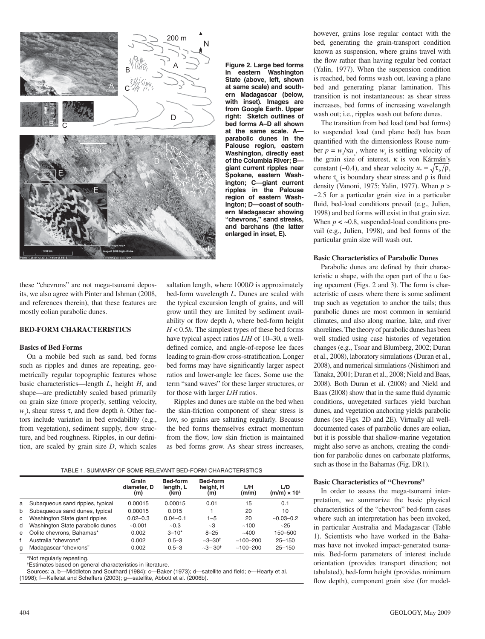

**Figure 2. Large bed forms in eastern Washington State (above, left, shown at same scale) and southern Madagascar (below, with inset). Images are from Google Earth. Upper right: Sketch outlines of bed forms A–D all shown at the same scale. A parabolic dunes in the Palouse region, eastern Washington, directly east of the Columbia River; B giant current ripples near Spokane, eastern Washington; C—giant current ripples in the Palouse region of eastern Washington; D—coast of southern Madagascar showing "chevrons," sand streaks, and barchans (the latter enlarged in inset, E).**

these "chevrons" are not mega-tsunami deposits, we also agree with Pinter and Ishman (2008, and references therein), that these features are mostly eolian parabolic dunes.

#### **BED-FORM CHARACTERISTICS**

#### **Basics of Bed Forms**

On a mobile bed such as sand, bed forms such as ripples and dunes are repeating, geometrically regular topographic features whose basic characteristics—length *L*, height *H*, and shape—are predictably scaled based primarily on grain size (more properly, settling velocity, *w*<sub>s</sub>), shear stress τ, and flow depth *h*. Other factors include variation in bed erodability (e.g., from vegetation), sediment supply, flow structure, and bed roughness. Ripples, in our definition, are scaled by grain size *D*, which scales

saltation length, where 1000*D* is approximately bed-form wavelength *L*. Dunes are scaled with the typical excursion length of grains, and will grow until they are limited by sediment availability or flow depth  $h$ , where bed-form height *H* < 0.5*h*. The simplest types of these bed forms have typical aspect ratios *L*/*H* of 10–30, a welldefined cornice, and angle-of-repose lee faces leading to grain-flow cross-stratification. Longer bed forms may have significantly larger aspect ratios and lower-angle lee faces. Some use the term "sand waves" for these larger structures, or for those with larger *L*/*H* ratios.

Ripples and dunes are stable on the bed when the skin-friction component of shear stress is low, so grains are saltating regularly. Because the bed forms themselves extract momentum from the flow, low skin friction is maintained as bed forms grow. As shear stress increases,

TABLE 1. SUMMARY OF SOME RELEVANT BED-FORM CHARACTERISTICS

|   |                                  | Grain<br>diameter, D<br>(m) | <b>Bed-form</b><br>length, L<br>(km) | <b>Bed-form</b><br>height, H<br>(m) | L/H<br>(m/m) | L/D<br>$(m/m) \times 104$ |
|---|----------------------------------|-----------------------------|--------------------------------------|-------------------------------------|--------------|---------------------------|
| a | Subaqueous sand ripples, typical | 0.00015                     | 0.00015                              | 0.01                                | 15           | 0.1                       |
| b | Subaqueous sand dunes, typical   | 0.00015                     | 0.015                                |                                     | 20           | 10                        |
| C | Washington State giant ripples   | $0.02 - 0.3$                | $0.04 - 0.1$                         | $1 - 5$                             | 20           | $-0.03 - 0.2$             |
| d | Washington State parabolic dunes | ~10.001                     | ~10.3                                | ~1                                  | ~100         | ~25                       |
| e | Oolite chevrons, Bahamas*        | 0.002                       | $3 - 10^{*}$                         | $8 - 25$                            | ~100         | 150-500                   |
|   | Australia "chevrons"             | 0.002                       | $0.5 - 3$                            | $-3 - 30$ <sup>t</sup>              | $~100 - 200$ | $25 - 150$                |
| q | Madagascar "chevrons"            | 0.002                       | $0.5 - 3$                            | $~2 - 3 - 30^{\dagger}$             | $~100 - 200$ | $25 - 150$                |

\*Not regularly repeating.

† Estimates based on general characteristics in literature.

Sources: a, b—Middleton and Southard (1984); c—Baker (1973); d—satellite and field; e—Hearty et al.

(1998); f—Kelletat and Scheffers (2003); g—satellite, Abbott et al. (2006b).

however, grains lose regular contact with the bed, generating the grain-transport condition known as suspension, where grains travel with the flow rather than having regular bed contact (Yalin, 1977). When the suspension condition is reached, bed forms wash out, leaving a plane bed and generating planar lamination. This transition is not instantaneous: as shear stress increases, bed forms of increasing wavelength wash out; i.e., ripples wash out before dunes.

The transition from bed load (and bed forms) to suspended load (and plane bed) has been quantified with the dimensionless Rouse number  $p = w_s / \kappa u_s$ , where  $w_s$  is settling velocity of the grain size of interest, κ is von Kármán's constant (~0.4), and shear velocity  $u_* = \sqrt{\tau_h / \rho}$ , where  $\tau_b$  is boundary shear stress and  $\rho$  is fluid density (Vanoni, 1975; Yalin, 1977). When *p* > ~2.5 for a particular grain size in a particular fluid, bed-load conditions prevail (e.g., Julien, 1998) and bed forms will exist in that grain size. When  $p < -0.8$ , suspended-load conditions prevail (e.g., Julien, 1998), and bed forms of the particular grain size will wash out.

#### **Basic Characteristics of Parabolic Dunes**

Parabolic dunes are defined by their characteristic u shape, with the open part of the u facing upcurrent (Figs. 2 and 3). The form is characteristic of cases where there is some sediment trap such as vegetation to anchor the tails; thus parabolic dunes are most common in semiarid climates, and also along marine, lake, and river shorelines. The theory of parabolic dunes has been well studied using case histories of vegetation changes (e.g., Tsoar and Blumberg, 2002; Duran et al., 2008), laboratory simulations (Duran et al., 2008), and numerical simulations (Nishimori and Tanaka, 2001; Duran et al., 2008; Nield and Baas, 2008). Both Duran et al. (2008) and Nield and Baas (2008) show that in the same fluid dynamic conditions, unvegetated surfaces yield barchan dunes, and vegetation anchoring yields parabolic dunes (see Figs. 2D and 2E). Virtually all welldocumented cases of parabolic dunes are eolian, but it is possible that shallow-marine vegetation might also serve as anchors, creating the condition for parabolic dunes on carbonate platforms, such as those in the Bahamas (Fig. DR1).

#### **Basic Characteristics of "Chevrons"**

In order to assess the mega-tsunami interpretation, we summarize the basic physical characteristics of the "chevron" bed-form cases where such an interpretation has been invoked, in particular Australia and Madagascar (Table 1). Scientists who have worked in the Bahamas have not invoked impact-generated tsunamis. Bed-form parameters of interest include orientation (provides transport direction; not tabulated), bed-form height (provides minimum flow depth), component grain size (for model-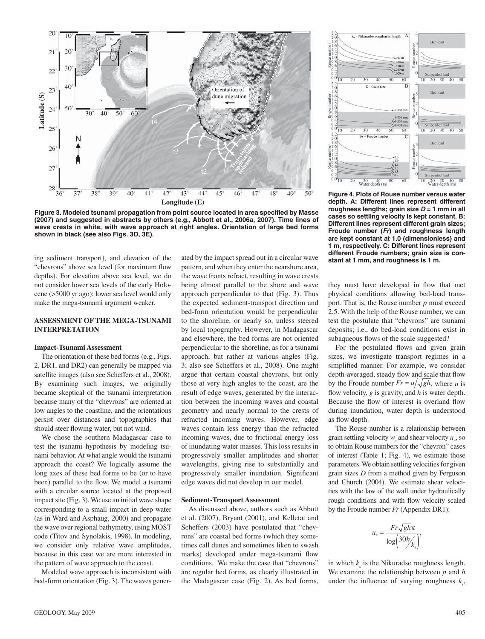

Figure 3. Modeled tsunami propagation from point source located in area specified by Masse **(2007) and suggested in abstracts by others (e.g., Abbott et al., 2006a, 2007). Time lines of wave crests in white, with wave approach at right angles. Orientation of large bed forms shown in black (see also Figs. 3D, 3E).**

ing sediment transport), and elevation of the "chevrons" above sea level (for maximum flow depths). For elevation above sea level, we do not consider lower sea levels of the early Holocene (>5000 yr ago); lower sea level would only make the mega-tsunami argument weaker.

#### **ASSESSMENT OF THE MEGA-TSUNAMI INTERPRETATION**

#### **Impact-Tsunami Assessment**

The orientation of these bed forms (e.g., Figs. 2, DR1, and DR2) can generally be mapped via satellite images (also see Scheffers et al., 2008). By examining such images, we originally became skeptical of the tsunami interpretation because many of the "chevrons" are oriented at low angles to the coastline, and the orientations persist over distances and topographies that should steer flowing water, but not wind.

We chose the southern Madagascar case to test the tsunami hypothesis by modeling tsunami behavior. At what angle would the tsunami approach the coast? We logically assume the long axes of these bed forms to be (or to have been) parallel to the flow. We model a tsunami with a circular source located at the proposed impact site (Fig. 3). We use an initial wave shape corresponding to a small impact in deep water (as in Ward and Asphaug, 2000) and propagate the wave over regional bathymetry, using MOST code (Titov and Synolakis, 1998). In modeling, we consider only relative wave amplitudes, because in this case we are more interested in the pattern of wave approach to the coast.

Modeled wave approach is inconsistent with bed-form orientation (Fig. 3). The waves generated by the impact spread out in a circular wave pattern, and when they enter the nearshore area, the wave fronts refract, resulting in wave crests being almost parallel to the shore and wave approach perpendicular to that (Fig. 3). Thus the expected sediment-transport direction and bed-form orientation would be perpendicular to the shoreline, or nearly so, unless steered by local topography. However, in Madagascar and elsewhere, the bed forms are not oriented perpendicular to the shoreline, as for a tsunami approach, but rather at various angles (Fig. 3; also see Scheffers et al., 2008). One might argue that certain coastal chevrons, but only those at very high angles to the coast, are the result of edge waves, generated by the interaction between the incoming waves and coastal geometry and nearly normal to the crests of refracted incoming waves. However, edge waves contain less energy than the refracted incoming waves, due to frictional energy loss of inundating water masses. This loss results in progressively smaller amplitudes and shorter wavelengths, giving rise to substantially and progressively smaller inundation. Significant edge waves did not develop in our model.

#### **Sediment-Transport Assessment**

As discussed above, authors such as Abbott et al. (2007), Bryant (2001), and Kelletat and Scheffers (2003) have postulated that "chevrons" are coastal bed forms (which they sometimes call dunes and sometimes liken to swash marks) developed under mega-tsunami flow conditions. We make the case that "chevrons" are regular bed forms, as clearly illustrated in the Madagascar case (Fig. 2). As bed forms,



**Figure 4. Plots of Rouse number versus water depth. A: Different lines represent different**  roughness lengths; grain size  $D = 1$  mm in all **cases so settling velocity is kept constant. B: Different lines represent different grain sizes; Froude number (***Fr***) and roughness length are kept constant at 1.0 (dimensionless) and 1 m, respectively. C: Different lines represent different Froude numbers; grain size is constant at 1 mm, and roughness is 1 m.**

they must have developed in flow that met physical conditions allowing bed-load transport. That is, the Rouse number *p* must exceed 2.5. With the help of the Rouse number, we can test the postulate that "chevrons" are tsunami deposits; i.e., do bed-load conditions exist in subaqueous flows of the scale suggested?

For the postulated flows and given grain sizes, we investigate transport regimes in a simplified manner. For example, we consider depth-averaged, steady flow and scale that flow by the Froude number  $Fr = u / \sqrt{gh}$ , where *u* is flow velocity,  $g$  is gravity, and  $h$  is water depth. Because the flow of interest is overland flow during inundation, water depth is understood as flow depth.

The Rouse number is a relationship between grain settling velocity  $w_s$  and shear velocity  $u_*$ , so to obtain Rouse numbers for the "chevron" cases of interest (Table 1; Fig. 4), we estimate those parameters. We obtain settling velocities for given grain sizes *D* from a method given by Ferguson and Church (2004). We estimate shear velocities with the law of the wall under hydraulically rough conditions and with flow velocity scaled by the Froude number *Fr* (Appendix DR1):

$$
u_* = \frac{Fr\sqrt{gh\kappa}}{\log\left(\frac{30h}{k_s}\right)},
$$

in which  $k_{\rm s}$  is the Nikuradse roughness length. We examine the relationship between *p* and *h* under the influence of varying roughness  $k<sub>s</sub>$ ,